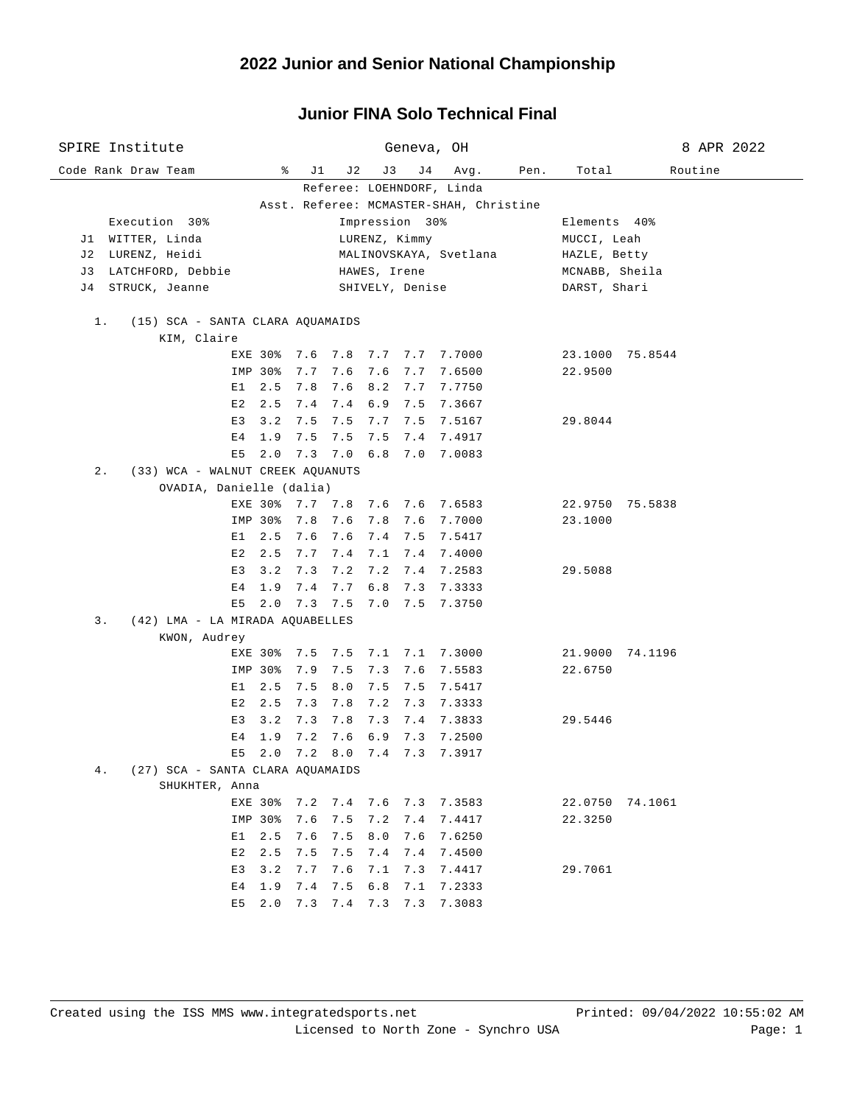| SPIRE Institute                           |                                           | Geneva, OH                                      | 8 APR 2022         |
|-------------------------------------------|-------------------------------------------|-------------------------------------------------|--------------------|
| Code Rank Draw Team                       | ိ<br>J1                                   | J 2<br>J3<br>J 4<br>Avg.<br>Pen.                | Routine<br>Total   |
|                                           |                                           | Referee: LOEHNDORF, Linda                       |                    |
|                                           |                                           | Asst. Referee: MCMASTER-SHAH, Christine         |                    |
| Execution 30%                             |                                           | Impression 30%                                  | Elements 40%       |
| J1 WITTER, Linda                          |                                           | LURENZ, Kimmy                                   | MUCCI, Leah        |
| LURENZ, Heidi<br>J 2                      |                                           | MALINOVSKAYA, Svetlana                          | HAZLE, Betty       |
| J 3<br>LATCHFORD, Debbie                  |                                           | HAWES, Irene                                    | MCNABB, Sheila     |
| STRUCK, Jeanne<br>J 4                     |                                           | SHIVELY, Denise                                 | DARST, Shari       |
| $1$ .<br>(15) SCA - SANTA CLARA AQUAMAIDS |                                           |                                                 |                    |
| KIM, Claire                               |                                           |                                                 |                    |
|                                           |                                           | EXE 30% 7.6 7.8 7.7 7.7 7.7000                  | 23.1000 75.8544    |
|                                           | 7.7<br>IMP 30%                            | 7.6<br>7.6<br>7.7 7.6500                        | 22.9500            |
|                                           | $E1 \quad 2.5$<br>7.8                     | 7.6 8.2 7.7 7.7750                              |                    |
|                                           | $E2 \quad 2.5$<br>7.4                     | 7.4 6.9 7.5 7.3667                              |                    |
|                                           | E3<br>3.2<br>7.5                          | 7.5 7.7 7.5 7.5167                              | 29.8044            |
|                                           | E 4<br>1.9<br>7.5                         | 7.5<br>7.5 7.4 7.4917                           |                    |
|                                           | 2.0<br>E5                                 | 7.3 7.0 6.8 7.0 7.0083                          |                    |
| $2$ .<br>(33) WCA - WALNUT CREEK AQUANUTS |                                           |                                                 |                    |
|                                           | OVADIA, Danielle (dalia)                  |                                                 |                    |
|                                           |                                           | EXE 30% 7.7 7.8 7.6 7.6 7.6583                  | 22.9750 75.5838    |
|                                           | 7.8<br>IMP 30%                            | 7.6 7.8 7.6 7.7000                              | 23.1000            |
|                                           | E1 2.5 7.6                                | 7.6 7.4 7.5 7.5417                              |                    |
|                                           | E2 2.5<br>7.7                             | 7.4 7.1 7.4 7.4000                              |                    |
|                                           | 3.2<br>7.3<br>E 3                         | 7.2<br>7.2 7.4 7.2583                           | 29.5088            |
|                                           | E <sub>4</sub><br>1.9<br>7.4<br>2.0<br>E5 | 6.8 7.3 7.3333<br>7.7<br>7.3 7.5 7.0 7.5 7.3750 |                    |
| (42) LMA - LA MIRADA AQUABELLES<br>3.     |                                           |                                                 |                    |
| KWON, Audrey                              |                                           |                                                 |                    |
|                                           | EXE 30%                                   | 7.5 7.5 7.1 7.1 7.3000                          | 21.9000 74.1196    |
|                                           | IMP 30%<br>7.9                            | 7.5<br>$7.3$ $7.6$<br>7.5583                    | 22.6750            |
|                                           | $E1 \quad 2.5$<br>7.5                     | 8.0<br>7.5 7.5<br>7.5417                        |                    |
|                                           | E2<br>2.5<br>7.3                          | 7.8<br>7.2 7.3<br>7.3333                        |                    |
|                                           | 3.2<br>E3<br>7.3                          | 7.8<br>7.3 7.4 7.3833                           | 29.5446            |
|                                           | 1.9<br>7.2<br>Е4                          | 7.6<br>6.9 7.3 7.2500                           |                    |
|                                           | $E5$ 2.0                                  | 7.2 8.0 7.4 7.3 7.3917                          |                    |
| 4.<br>(27) SCA - SANTA CLARA AQUAMAIDS    |                                           |                                                 |                    |
| SHUKHTER, Anna                            |                                           |                                                 |                    |
|                                           | EXE 30%                                   | 7.2 7.4 7.6 7.3 7.3583                          | 22.0750<br>74.1061 |
|                                           | IMP 30%<br>7.6                            | 7.5<br>7.2<br>7.4<br>7.4417                     | 22.3250            |
|                                           | E1<br>2.5<br>7.6                          | 8.0<br>7.5<br>7.6<br>7.6250                     |                    |
|                                           | E2<br>2.5<br>7.5                          | 7.4<br>7.5<br>7.4<br>7.4500                     |                    |
|                                           | E3<br>3.2<br>7.7                          | 7.6<br>7.1<br>7.3<br>7.4417                     | 29.7061            |
|                                           | E4<br>1.9<br>7.4                          | 7.5<br>6.8<br>7.1<br>7.2333                     |                    |
|                                           | E5<br>2.0<br>7.3                          | 7.3083<br>7.4<br>7.3<br>7.3                     |                    |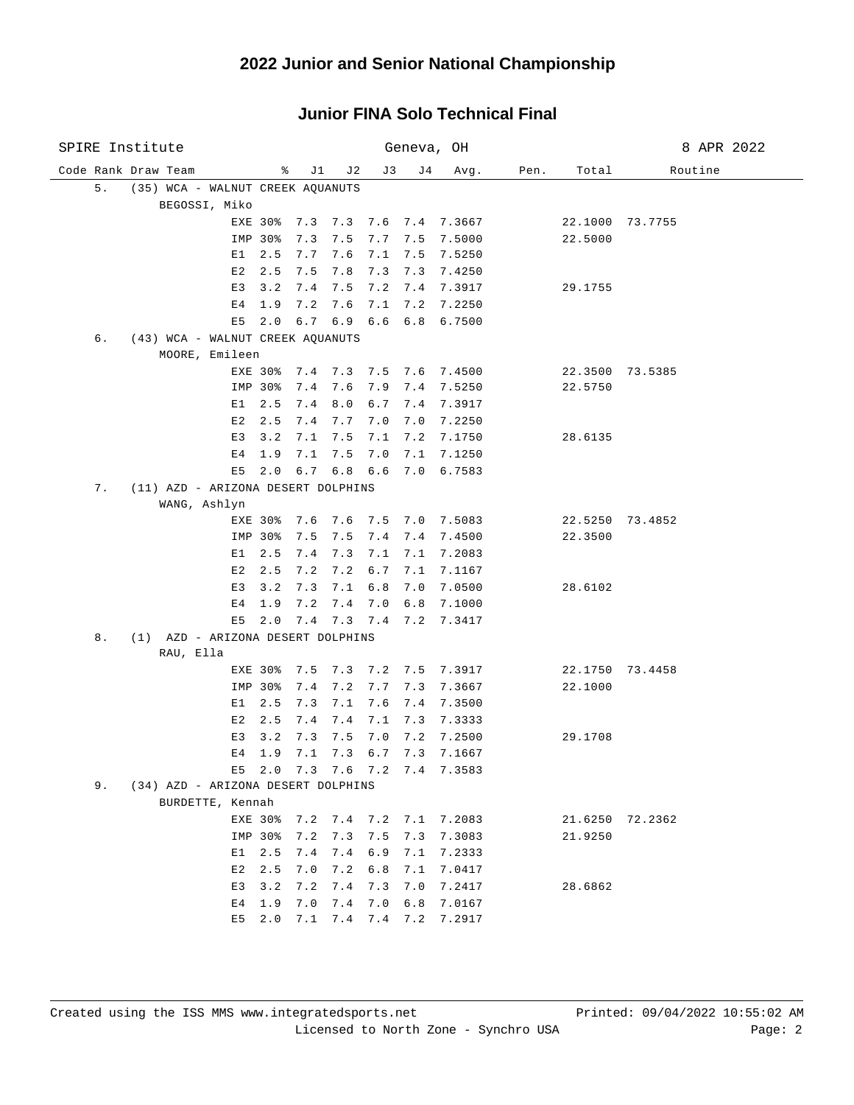| SPIRE Institute                          |                               |                        | Geneva, OH               |                          |      |         | 8 APR 2022      |
|------------------------------------------|-------------------------------|------------------------|--------------------------|--------------------------|------|---------|-----------------|
| Code Rank Draw Team                      | ႜ<br>J1                       | J 2                    | J3<br>J 4                | Avg.                     | Pen. | Total   | Routine         |
| 5.<br>(35) WCA - WALNUT CREEK AQUANUTS   |                               |                        |                          |                          |      |         |                 |
| BEGOSSI, Miko                            |                               |                        |                          |                          |      |         |                 |
|                                          | EXE 30%                       | 7.3 7.3 7.6 7.4 7.3667 |                          |                          |      |         | 22.1000 73.7755 |
|                                          | IMP 30%<br>7.3                | 7.5                    | 7.7<br>7.5               | 7.5000                   |      | 22.5000 |                 |
| E1                                       | 2.5<br>7.7                    | 7.6                    | 7.1<br>7.5               | 7.5250                   |      |         |                 |
| E2                                       | 2.5<br>7.5                    | 7.8                    | 7.3<br>7.3               | 7.4250                   |      |         |                 |
| E3                                       | 3.2<br>7.4                    | 7.5                    | 7.2<br>7.4               | 7.3917                   |      | 29.1755 |                 |
| E <sub>4</sub>                           | 1.9<br>7.2                    | 7.6                    | 7.1<br>7.2               | 7.2250                   |      |         |                 |
| E5                                       | 2.0                           | $6.7 \quad 6.9$        | 6.6<br>6.8               | 6.7500                   |      |         |                 |
| (43) WCA - WALNUT CREEK AQUANUTS<br>б.   |                               |                        |                          |                          |      |         |                 |
| MOORE, Emileen                           |                               |                        |                          |                          |      |         |                 |
|                                          | EXE 30%<br>7.4<br>IMP 30%     | 7.4 7.3<br>7.6         | 7.9<br>7.4               | 7.5 7.6 7.4500<br>7.5250 |      | 22.5750 | 22.3500 73.5385 |
| E1                                       | 2.5<br>7.4                    | 8.0                    | 6.7<br>7.4               | 7.3917                   |      |         |                 |
| E 2                                      | 2.5<br>7.4                    | 7.7                    | 7.0<br>7.0               | 7.2250                   |      |         |                 |
| E3                                       | 3.2<br>7.1                    | 7.5                    | 7.1<br>7.2               | 7.1750                   |      | 28.6135 |                 |
| Ε4                                       | 1.9<br>7.1                    | 7.5                    | 7.0<br>7.1               | 7.1250                   |      |         |                 |
| E5                                       | 2.0                           | $6.7$ $6.8$ $6.6$      |                          | 7.0 6.7583               |      |         |                 |
| 7.<br>(11) AZD - ARIZONA DESERT DOLPHINS |                               |                        |                          |                          |      |         |                 |
| WANG, Ashlyn                             |                               |                        |                          |                          |      |         |                 |
|                                          | 7.6<br>EXE 30%                | 7.6                    | 7.5<br>7.0               | 7.5083                   |      |         | 22.5250 73.4852 |
|                                          | IMP 30%<br>7.5                | 7.5                    | 7.4<br>7.4               | 7.4500                   |      | 22.3500 |                 |
| E1                                       | 2.5<br>7.4                    | 7.3                    | 7.1<br>7.1               | 7.2083                   |      |         |                 |
| E2                                       | 2.5<br>7.2                    | 7.2                    | 6.7<br>7.1               | 7.1167                   |      |         |                 |
| E3                                       | 3.2<br>7.3                    | 7.1                    | 6.8<br>7.0               | 7.0500                   |      | 28.6102 |                 |
| E4                                       | 7.2<br>1.9                    | 7.4                    | 7.0<br>6.8               | 7.1000                   |      |         |                 |
| E5                                       | 2.0                           | 7.4 7.3                | $7.4$ $7.2$              | 7.3417                   |      |         |                 |
| (1) AZD - ARIZONA DESERT DOLPHINS<br>8.  |                               |                        |                          |                          |      |         |                 |
| RAU, Ella                                |                               |                        |                          |                          |      |         |                 |
|                                          | EXE 30%<br>7.5                | 7.3                    | 7.2<br>7.5               | 7.3917                   |      |         | 22.1750 73.4458 |
|                                          | IMP 30%<br>7.4                | 7.2                    | 7.7<br>7.3               | 7.3667                   |      | 22.1000 |                 |
| E1                                       | 2.5<br>7.3                    | 7.1                    | 7.6<br>7.4               | 7.3500                   |      |         |                 |
| E2<br>E3                                 | 2.5<br>7.4<br>3.2<br>7.3      | 7.4<br>7.5             | 7.1<br>7.3<br>7.0<br>7.2 | 7.3333                   |      | 29.1708 |                 |
| E4                                       | 1.9<br>7.1                    | 7.3                    | 6.7<br>7.3               | 7.2500<br>7.1667         |      |         |                 |
|                                          | E5 2.0 7.3 7.6 7.2 7.4 7.3583 |                        |                          |                          |      |         |                 |
| 9.<br>(34) AZD - ARIZONA DESERT DOLPHINS |                               |                        |                          |                          |      |         |                 |
| BURDETTE, Kennah                         |                               |                        |                          |                          |      |         |                 |
|                                          | EXE 30%                       | 7.2 7.4 7.2 7.1 7.2083 |                          |                          |      |         | 21.6250 72.2362 |
|                                          | IMP 30%<br>7.2                | 7.3                    | 7.5                      | 7.3 7.3083               |      | 21.9250 |                 |
| E1.                                      | 2.5<br>7.4                    |                        |                          | 7.4 6.9 7.1 7.2333       |      |         |                 |
| E2                                       | 2.5<br>7.0                    | 7.2                    | 6.8                      | 7.1 7.0417               |      |         |                 |
| E3                                       | 3.2<br>7.2                    | 7.4                    | 7.3<br>7.0               | 7.2417                   |      | 28.6862 |                 |
| Е4                                       | 1.9<br>7.0                    | $7.4$ $7.0$            | 6.8                      | 7.0167                   |      |         |                 |
|                                          | $E5$ 2.0                      | 7.1 7.4 7.4 7.2        |                          | 7.2917                   |      |         |                 |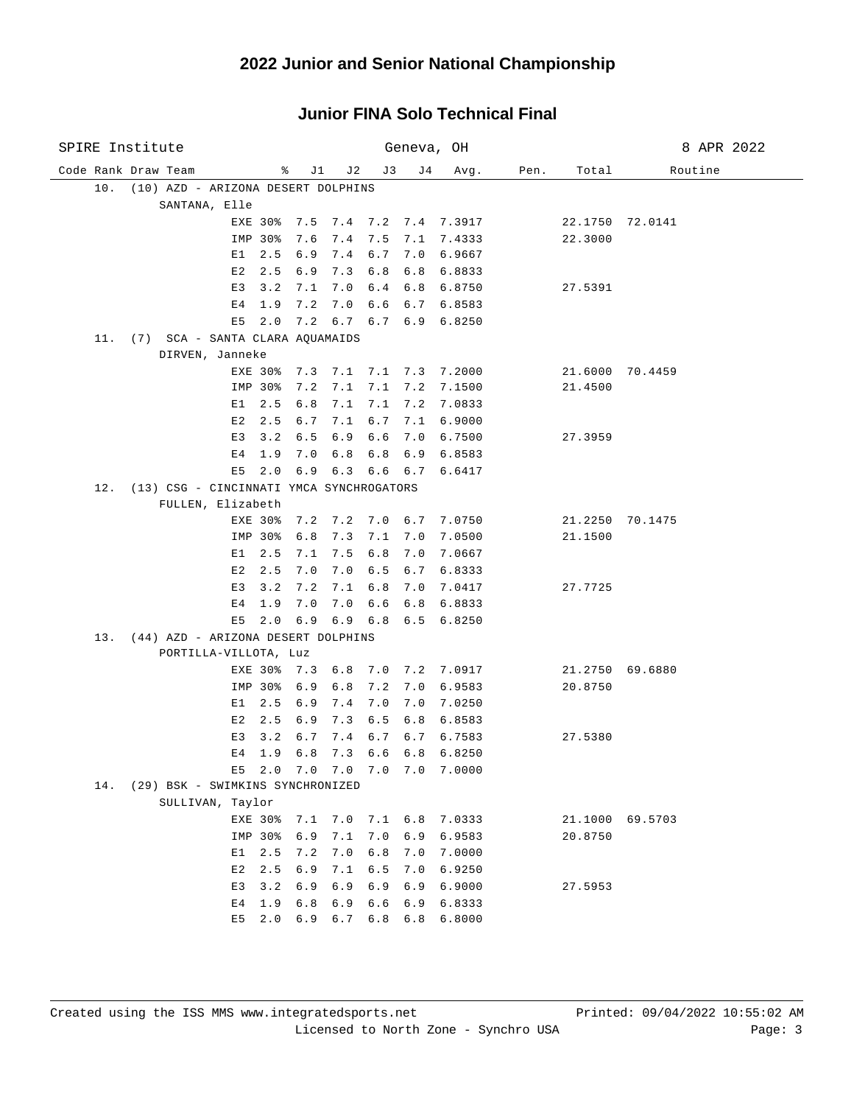| SPIRE Institute                                 |         |                               |       | Geneva, OH |                              |      |         | 8 APR 2022      |
|-------------------------------------------------|---------|-------------------------------|-------|------------|------------------------------|------|---------|-----------------|
| Code Rank Draw Team                             | ႜ       | J 1<br>J 2                    | J3    | J 4        | Avg.                         | Pen. | Total   | Routine         |
| 10.<br>(10) AZD - ARIZONA DESERT DOLPHINS       |         |                               |       |            |                              |      |         |                 |
| SANTANA, Elle                                   |         |                               |       |            |                              |      |         |                 |
|                                                 | EXE 30% | 7.5 7.4 7.2 7.4 7.3917        |       |            |                              |      |         | 22.1750 72.0141 |
|                                                 | IMP 30% | 7.6<br>7.4                    | 7.5   |            | 7.1 7.4333                   |      | 22.3000 |                 |
| E1                                              | 2.5     | 6.9<br>7.4                    | 6.7   |            | 7.0 6.9667                   |      |         |                 |
| E 2                                             | 2.5     | 6.9<br>7.3                    | 6.8   |            | 6.8 6.8833                   |      |         |                 |
| E3                                              | 3.2     | 7.1<br>7.0                    |       |            | 6.4 6.8 6.8750               |      | 27.5391 |                 |
| E <sub>4</sub>                                  | 1.9     | 7.2<br>7.0                    |       |            | $6.6 \t 6.7 \t 6.8583$       |      |         |                 |
| E5                                              | 2.0     | 7.2 6.7 6.7 6.9 6.8250        |       |            |                              |      |         |                 |
| 11. (7) SCA - SANTA CLARA AQUAMAIDS             |         |                               |       |            |                              |      |         |                 |
| DIRVEN, Janneke                                 |         |                               |       |            |                              |      |         |                 |
|                                                 | IMP 30% | EXE 30% 7.3 7.1<br>7.2<br>7.1 | 7.1   |            | 7.1 7.3 7.2000<br>7.2 7.1500 |      | 21.4500 | 21.6000 70.4459 |
| E 1                                             | 2.5     | 6.8<br>7.1                    | 7.1   |            | 7.2 7.0833                   |      |         |                 |
| E2                                              | 2.5     | 6.7<br>7.1                    | 6.7   | 7.1        | 6.9000                       |      |         |                 |
| E3                                              | 3.2     | 6.5<br>6.9                    | 6.6   | 7.0        | 6.7500                       |      | 27.3959 |                 |
| E <sub>4</sub>                                  | 1.9     | 7.0<br>6.8                    | 6.8   | 6.9        | 6.8583                       |      |         |                 |
| E5                                              | 2.0     | 6.9 6.3                       |       | 6.6 6.7    | 6.6417                       |      |         |                 |
| (13) CSG - CINCINNATI YMCA SYNCHROGATORS<br>12. |         |                               |       |            |                              |      |         |                 |
| FULLEN, Elizabeth                               |         |                               |       |            |                              |      |         |                 |
|                                                 | EXE 30% | 7.2 7.2 7.0 6.7 7.0750        |       |            |                              |      |         | 21.2250 70.1475 |
|                                                 | IMP 30% | 6.8<br>7.3                    | 7.1   | 7.0        | 7.0500                       |      | 21.1500 |                 |
| E1                                              | 2.5     | 7.5<br>7.1                    | 6.8   | 7.0        | 7.0667                       |      |         |                 |
| E2                                              | 2.5     | 7.0<br>7.0                    | 6.5   |            | 6.7 6.8333                   |      |         |                 |
| E3                                              | 3.2     | 7.2<br>7.1                    | $6.8$ | 7.0        | 7.0417                       |      | 27.7725 |                 |
| Е4                                              | 1.9     | 7.0<br>7.0                    | 6.6   |            | 6.8 6.8833                   |      |         |                 |
| E5                                              | 2.0     | $6.9$ $6.9$ $6.8$             |       |            | $6.5 \quad 6.8250$           |      |         |                 |
| 13. (44) AZD - ARIZONA DESERT DOLPHINS          |         |                               |       |            |                              |      |         |                 |
| PORTILLA-VILLOTA, Luz                           |         |                               |       |            |                              |      |         |                 |
|                                                 | EXE 30% | 7.3<br>6.8                    |       |            | 7.0 7.2 7.0917               |      |         | 21.2750 69.6880 |
|                                                 | IMP 30% | 6.8<br>6.9                    | 7.2   | 7.0        | 6.9583                       |      | 20.8750 |                 |
| E1                                              | 2.5     | 7.4<br>6.9                    | 7.0   | 7.0        | 7.0250                       |      |         |                 |
| E2                                              | 2.5     | 7.3<br>6.9                    | 6.5   | 6.8        | 6.8583                       |      |         |                 |
| E3                                              | 3.2     | 6.7<br>7.4                    | 6.7   |            | 6.7 6.7583                   |      | 27.5380 |                 |
| E4                                              | 1.9     | 6.8<br>7.3                    |       |            | 6.6 6.8 6.8250               |      |         |                 |
| E5<br>(29) BSK - SWIMKINS SYNCHRONIZED<br>14.   |         | 2.0 7.0 7.0 7.0 7.0           |       |            | 7.0000                       |      |         |                 |
| SULLIVAN, Taylor                                |         |                               |       |            |                              |      |         |                 |
|                                                 | EXE 30% | 7.0<br>7.1                    |       |            | 7.1 6.8 7.0333               |      | 21.1000 | 69.5703         |
|                                                 | IMP 30% | 7.1<br>6.9                    | 7.0   | 6.9        | 6.9583                       |      | 20.8750 |                 |
| E1                                              | 2.5     | 7.0<br>7.2                    | $6.8$ | 7.0        | 7.0000                       |      |         |                 |
| E2                                              | 2.5     | 6.9<br>7.1                    | $6.5$ | 7.0        | 6.9250                       |      |         |                 |
| E3                                              | 3.2     | 6.9<br>6.9                    | 6.9   | 6.9        | 6.9000                       |      | 27.5953 |                 |
| E <sub>4</sub>                                  | 1.9     | 6.8<br>6.9                    | 6.6   | 6.9        | 6.8333                       |      |         |                 |
| E5                                              | 2.0     | 6.9<br>6.7                    | 6.8   | 6.8        | 6.8000                       |      |         |                 |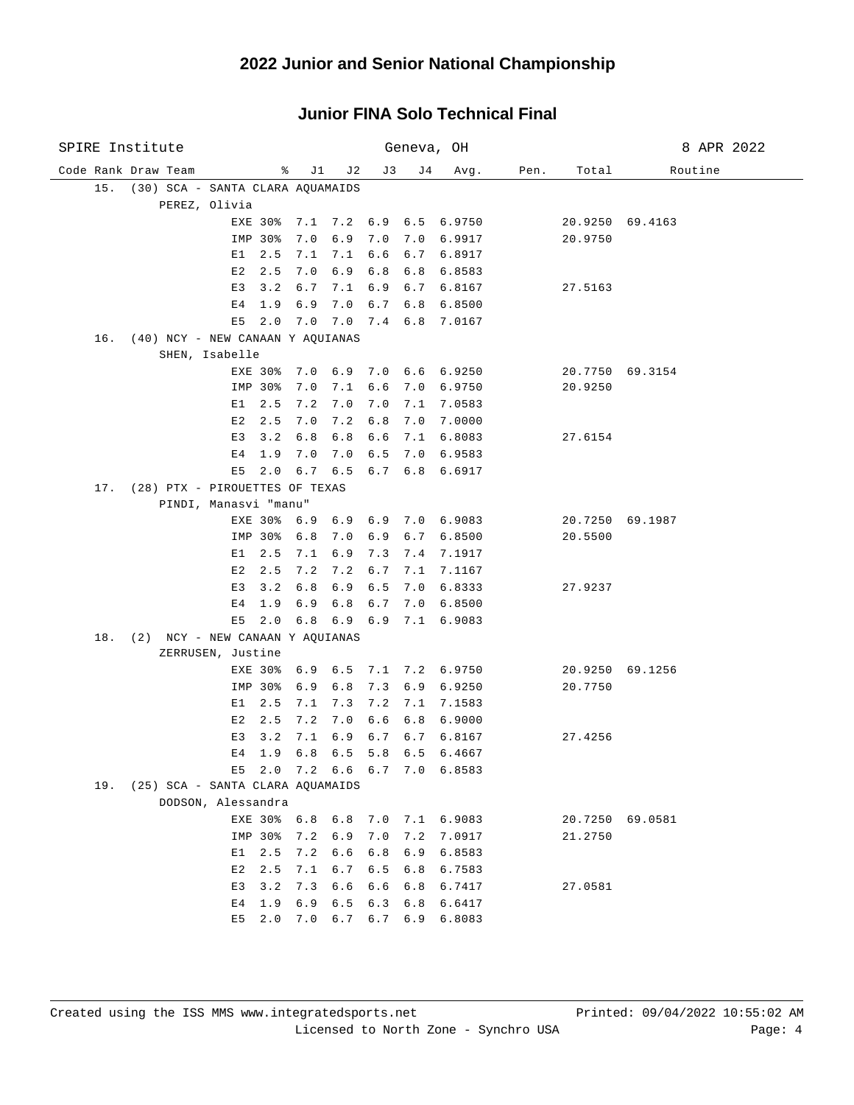| SPIRE Institute                                          |                 |                 |       | Geneva, OH  |                        |      |         | 8 APR 2022      |
|----------------------------------------------------------|-----------------|-----------------|-------|-------------|------------------------|------|---------|-----------------|
| Code Rank Draw Team                                      | ိ               | J 1<br>J 2      | J3    | J 4         | Avg.                   | Pen. | Total   | Routine         |
| (30) SCA - SANTA CLARA AQUAMAIDS<br>15.                  |                 |                 |       |             |                        |      |         |                 |
| PEREZ, Olivia                                            |                 |                 |       |             |                        |      |         |                 |
|                                                          | EXE 30%         |                 |       |             | 7.1 7.2 6.9 6.5 6.9750 |      |         | 20.9250 69.4163 |
|                                                          | 7.0<br>IMP 30%  | 6.9             | 7.0   |             | 7.0 6.9917             |      | 20.9750 |                 |
| E1                                                       | 2.5<br>7.1      | 7.1             |       |             | 6.6 6.7 6.8917         |      |         |                 |
| E2                                                       | 7.0<br>2.5      | 6.9             | 6.8   |             | 6.8 6.8583             |      |         |                 |
| E3                                                       | 3.2<br>6.7      | 7.1             |       | $6.9 \t6.7$ | 6.8167                 |      | 27.5163 |                 |
| E4                                                       | 6.9<br>1.9      | 7.0             |       |             | $6.7$ $6.8$ $6.8500$   |      |         |                 |
| E5                                                       | 2.0<br>7.0      |                 |       |             | 7.0 7.4 6.8 7.0167     |      |         |                 |
| 16. (40) NCY - NEW CANAAN Y AQUIANAS                     |                 |                 |       |             |                        |      |         |                 |
| SHEN, Isabelle                                           | EXE 30% 7.0 6.9 |                 |       |             | $7.0$ 6.6 6.9250       |      |         | 20.7750 69.3154 |
|                                                          | IMP 30%<br>7.0  | 7.1             | 6.6   |             | 7.0 6.9750             |      | 20.9250 |                 |
| E1                                                       | 2.5<br>7.2      | 7.0             | 7.0   | 7.1         | 7.0583                 |      |         |                 |
| E 2                                                      | 2.5<br>7.0      | 7.2             | $6.8$ | 7.0         | 7.0000                 |      |         |                 |
| E3                                                       | 3.2<br>6.8      | 6.8             | 6.6   |             | 7.1 6.8083             |      | 27.6154 |                 |
| Е4                                                       | 1.9<br>7.0      | 7.0             | 6.5   |             | 7.0 6.9583             |      |         |                 |
| E5                                                       | 2.0             | $6.7 \quad 6.5$ | 6.7   |             | 6.8 6.6917             |      |         |                 |
| (28) PTX - PIROUETTES OF TEXAS<br>17.                    |                 |                 |       |             |                        |      |         |                 |
| PINDI, Manasvi "manu"                                    |                 |                 |       |             |                        |      |         |                 |
|                                                          | EXE 30% 6.9 6.9 |                 |       |             | $6.9$ $7.0$ $6.9083$   |      |         | 20.7250 69.1987 |
|                                                          | 6.8<br>IMP 30%  | 7.0             | 6.9   |             | 6.7 6.8500             |      | 20.5500 |                 |
| E 1                                                      | 2.5<br>7.1      | 6.9             | 7.3   |             | 7.4 7.1917             |      |         |                 |
| E2                                                       | 2.5<br>7.2      | 7.2             | 6.7   |             | 7.1 7.1167             |      |         |                 |
| E3                                                       | 6.8<br>3.2      | 6.9             | 6.5   |             | 7.0 6.8333             |      | 27.9237 |                 |
| Е4                                                       | 1.9<br>6.9      | 6.8             | 6.7   |             | 7.0 6.8500             |      |         |                 |
| E5                                                       | 2.0             | $6.8 \t6.9$     | 6.9   |             | 7.1 6.9083             |      |         |                 |
| 18. (2) NCY - NEW CANAAN Y AQUIANAS<br>ZERRUSEN, Justine |                 |                 |       |             |                        |      |         |                 |
|                                                          | EXE 30%         | 6.9 6.5         |       |             | 7.1 7.2 6.9750         |      |         | 20.9250 69.1256 |
|                                                          | IMP 30%<br>6.9  | 6.8             | 7.3   | 6.9         | 6.9250                 |      | 20.7750 |                 |
| E 1                                                      | 2.5<br>7.1      | 7.3             | 7.2   |             | 7.1 7.1583             |      |         |                 |
| E2                                                       | 2.5<br>7.2      | 7.0             | 6.6   | 6.8         | 6.9000                 |      |         |                 |
| E3                                                       | 3.2<br>7.1      | 6.9             | 6.7   |             | 6.7 6.8167             |      | 27.4256 |                 |
|                                                          | E4 1.9          | $6.8$ $6.5$     |       |             | 5.8 6.5 6.4667         |      |         |                 |
| E5                                                       | 2.0             | 7.2 6.6 6.7 7.0 |       |             | 6.8583                 |      |         |                 |
| 19. (25) SCA - SANTA CLARA AQUAMAIDS                     |                 |                 |       |             |                        |      |         |                 |
| DODSON, Alessandra                                       |                 |                 |       |             |                        |      |         |                 |
|                                                          | 6.8<br>EXE 30%  | 6.8             | 7.0   |             | 7.1 6.9083             |      | 20.7250 | 69.0581         |
|                                                          | IMP 30%<br>7.2  | 6.9             | 7.0   | 7.2         | 7.0917                 |      | 21.2750 |                 |
| E1                                                       | 7.2<br>2.5      | $6.6$           | 6.8   | 6.9         | 6.8583                 |      |         |                 |
| E2                                                       | 7.1<br>2.5      | 6.7             | 6.5   | 6.8         | 6.7583                 |      |         |                 |
| E3                                                       | 7.3<br>3.2      | $6.6$           | 6.6   | 6.8         | 6.7417                 |      | 27.0581 |                 |
| E4                                                       | 6.9<br>1.9      | 6.5             | 6.3   | 6.8         | 6.6417                 |      |         |                 |
| E5                                                       | 7.0<br>2.0      | 6.7             | 6.7   | 6.9         | 6.8083                 |      |         |                 |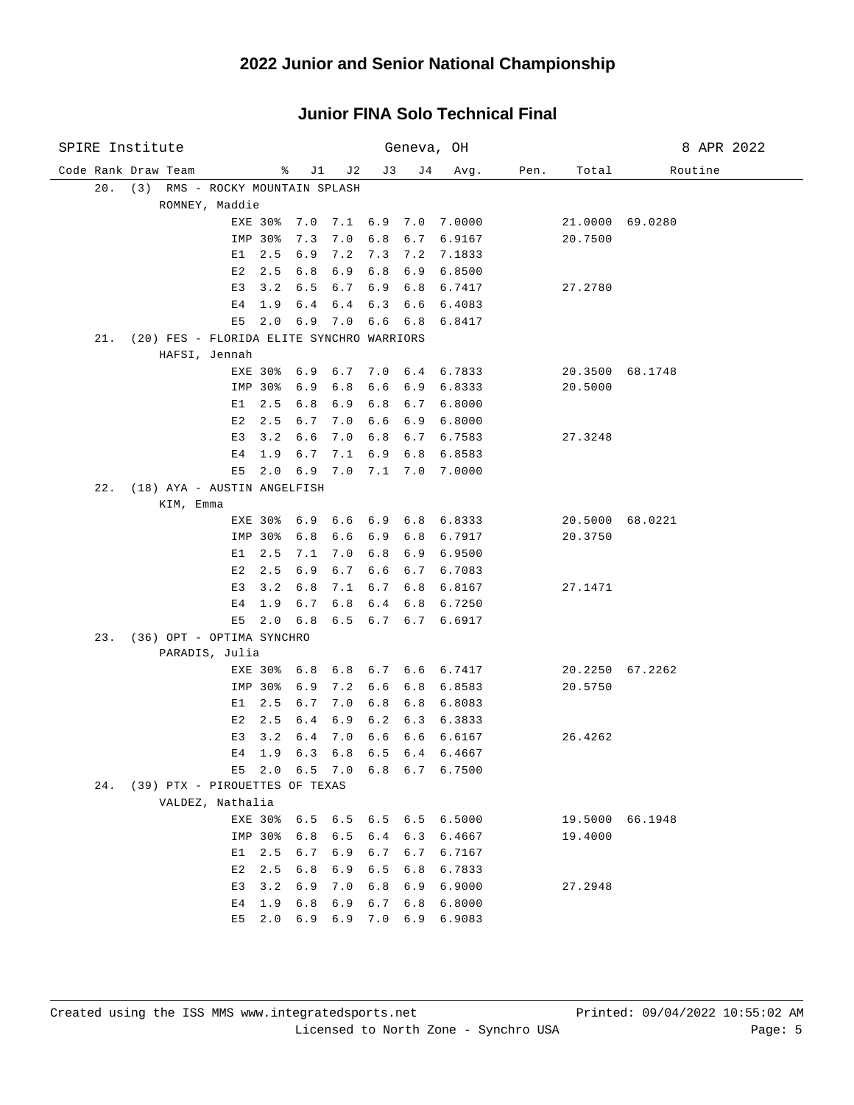| SPIRE Institute                                  |                           |            |             | Geneva, OH  |                                          |      |                            | 8 APR 2022      |
|--------------------------------------------------|---------------------------|------------|-------------|-------------|------------------------------------------|------|----------------------------|-----------------|
| Code Rank Draw Team                              | ႜ<br>J1                   | J2         | J3          | J 4         | Avg.                                     | Pen. | Total                      | Routine         |
| 20. (3) RMS - ROCKY MOUNTAIN SPLASH              |                           |            |             |             |                                          |      |                            |                 |
| ROMNEY, Maddie                                   |                           |            |             |             |                                          |      |                            |                 |
|                                                  | 7.0<br>EXE 30%            |            |             |             | 7.1 6.9 7.0 7.0000                       |      |                            | 21.0000 69.0280 |
|                                                  | IMP 30%<br>7.3            | 7.0        |             |             | 6.8 6.7 6.9167                           |      | 20.7500                    |                 |
| E1                                               | 2.5<br>6.9                | 7.2        |             |             | 7.3 7.2 7.1833                           |      |                            |                 |
| E2                                               | 2.5<br>6.8                | 6.9        | 6.8         | 6.9         | 6.8500                                   |      |                            |                 |
| E3                                               | 3.2<br>6.5                | 6.7        | 6.9 6.8     |             | 6.7417                                   |      | 27.2780                    |                 |
| Е4                                               | 1.9<br>6.4                | 6.4        | $6.3$ $6.6$ |             | 6.4083                                   |      |                            |                 |
| E5                                               | 2.0<br>6.9                | 7.0        | 6.6         | 6.8         | 6.8417                                   |      |                            |                 |
| (20) FES - FLORIDA ELITE SYNCHRO WARRIORS<br>21. |                           |            |             |             |                                          |      |                            |                 |
| HAFSI, Jennah                                    |                           |            |             |             |                                          |      |                            |                 |
|                                                  | 6.9<br>EXE 30%            | 6.7        |             |             | 7.0 6.4 6.7833                           |      |                            | 20.3500 68.1748 |
|                                                  | IMP 30%<br>6.9            | 6.8        | 6.6         | 6.9         | 6.8333                                   |      | 20.5000                    |                 |
| E 1<br>E2                                        | 2.5<br>6.8<br>2.5<br>6.7  | 6.9        | 6.8         | 6.7         | 6.8000                                   |      |                            |                 |
| E3                                               | 3.2<br>6.6                | 7.0<br>7.0 | 6.6<br>6.8  | 6.9         | 6.8000<br>6.7583                         |      | 27.3248                    |                 |
| Е4                                               | 1.9<br>6.7                | 7.1        | 6.9         | 6.7<br>6.8  | 6.8583                                   |      |                            |                 |
| E5                                               | 6.9<br>2.0                | 7.0        | 7.1         | 7.0         | 7.0000                                   |      |                            |                 |
| 22.<br>(18) AYA - AUSTIN ANGELFISH               |                           |            |             |             |                                          |      |                            |                 |
| KIM, Emma                                        |                           |            |             |             |                                          |      |                            |                 |
|                                                  | EXE 30%<br>6.9            |            |             |             | $6.6$ $6.9$ $6.8$ $6.8333$               |      |                            | 20.5000 68.0221 |
|                                                  | 6.8<br>IMP 30%            | 6.6        | 6.9         | 6.8         | 6.7917                                   |      | 20.3750                    |                 |
| E1                                               | 2.5<br>7.1                | 7.0        | 6.8         | 6.9         | 6.9500                                   |      |                            |                 |
| E2                                               | 2.5<br>6.9                | 6.7        | 6.6         | 6.7         | 6.7083                                   |      |                            |                 |
| E3                                               | 3.2<br>6.8                | 7.1        | 6.7         | 6.8         | 6.8167                                   |      | 27.1471                    |                 |
| Е4                                               | 1.9<br>6.7                | 6.8        | 6.4         | 6.8         | 6.7250                                   |      |                            |                 |
| E5                                               | 6.8<br>2.0                |            |             | 6.5 6.7 6.7 | 6.6917                                   |      |                            |                 |
| 23. (36) OPT - OPTIMA SYNCHRO                    |                           |            |             |             |                                          |      |                            |                 |
| PARADIS, Julia                                   |                           |            |             |             |                                          |      |                            |                 |
|                                                  | EXE 30%<br>6.8            |            | 6.8 6.7 6.6 |             | 6.7417                                   |      |                            | 20.2250 67.2262 |
|                                                  | IMP 30%<br>6.9            | 7.2        | 6.6         | 6.8         | 6.8583                                   |      | 20.5750                    |                 |
| E1                                               | 2.5<br>6.7                | 7.0        | 6.8         | 6.8         | 6.8083                                   |      |                            |                 |
| E2                                               | 2.5<br>6.4                | 6.9        | 6.2         | 6.3         | 6.3833                                   |      |                            |                 |
| E3                                               | 3.2<br>6.4                | 7.0        | 6.6         | 6.6         | 6.6167                                   |      | 26.4262                    |                 |
| E4                                               | 1.9<br>6.3                | 6.8        |             |             | $6.5$ $6.4$ $6.4667$                     |      |                            |                 |
| E5                                               | 2.0                       |            |             |             | 6.5 7.0 6.8 6.7 6.7500                   |      |                            |                 |
| (39) PTX - PIROUETTES OF TEXAS<br>24.            |                           |            |             |             |                                          |      |                            |                 |
| VALDEZ, Nathalia                                 |                           |            |             |             |                                          |      |                            |                 |
|                                                  | EXE 30%<br>IMP 30%<br>6.8 | 6.5        |             |             | 6.5 6.5 6.5 6.5 6.5000<br>6.4 6.3 6.4667 |      | 19.5000 66.1948<br>19.4000 |                 |
| E1                                               | 2.5<br>6.7                | 6.9        | 6.7         | 6.7         | 6.7167                                   |      |                            |                 |
| E2                                               | 2.5<br>6.8                | 6.9        | 6.5         | 6.8         | 6.7833                                   |      |                            |                 |
| E3                                               | 3.2<br>6.9                | 7.0        | 6.8         | 6.9         | 6.9000                                   |      | 27.2948                    |                 |
| E4                                               | 6.8<br>1.9                | 6.9        | 6.7         | 6.8         | 6.8000                                   |      |                            |                 |
| E5                                               | 2.0<br>6.9                | 6.9        | 7.0         | 6.9         | 6.9083                                   |      |                            |                 |
|                                                  |                           |            |             |             |                                          |      |                            |                 |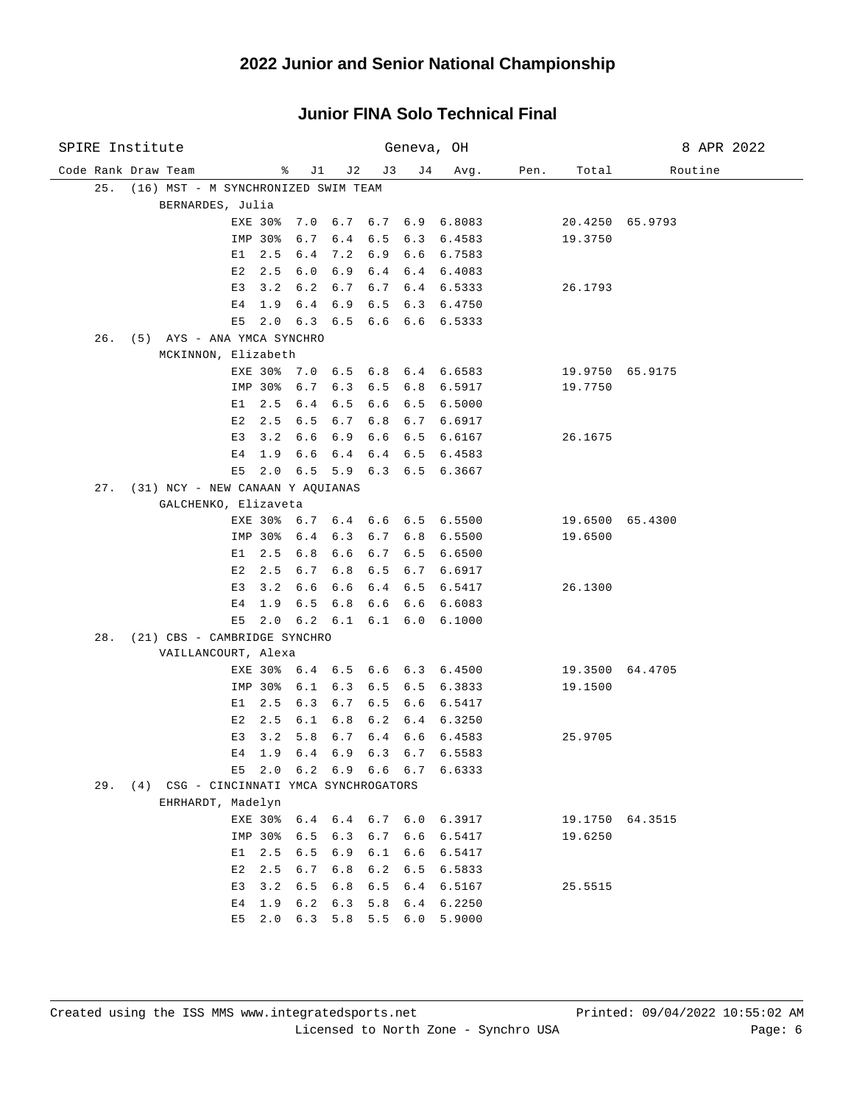| SPIRE Institute                                         |                |         |      |                         |     |             | Geneva, OH                     |      |                 | 8 APR 2022      |
|---------------------------------------------------------|----------------|---------|------|-------------------------|-----|-------------|--------------------------------|------|-----------------|-----------------|
| Code Rank Draw Team                                     |                |         | % J1 | J 2                     | J 3 | J 4         | Avg.                           | Pen. | Total           | Routine         |
| 25. (16) MST - M SYNCHRONIZED SWIM TEAM                 |                |         |      |                         |     |             |                                |      |                 |                 |
| BERNARDES, Julia                                        |                |         |      |                         |     |             |                                |      |                 |                 |
|                                                         |                | EXE 30% |      |                         |     |             | 7.0 6.7 6.7 6.9 6.8083         |      |                 | 20.4250 65.9793 |
|                                                         |                | IMP 30% |      |                         |     |             | 6.7 6.4 6.5 6.3 6.4583         |      | 19.3750         |                 |
|                                                         | E1             | 2.5     | 6.4  |                         |     |             | 7.2 6.9 6.6 6.7583             |      |                 |                 |
|                                                         | E2             | 2.5     | 6.0  | 6.9                     |     |             | 6.4 6.4 6.4083                 |      |                 |                 |
|                                                         |                | E3 3.2  | 6.2  | 6.7                     |     |             | $6.7 \quad 6.4 \quad 6.5333$   |      | 26.1793         |                 |
|                                                         |                | E4 1.9  |      | $6.4 \quad 6.9$         |     |             | $6.5$ $6.3$ $6.4750$           |      |                 |                 |
|                                                         |                |         |      |                         |     |             | E5 2.0 6.3 6.5 6.6 6.6 6.5333  |      |                 |                 |
| 26. (5) AYS - ANA YMCA SYNCHRO                          |                |         |      |                         |     |             |                                |      |                 |                 |
| MCKINNON, Elizabeth                                     |                |         |      |                         |     |             |                                |      |                 |                 |
|                                                         |                |         |      |                         |     |             | EXE 30% 7.0 6.5 6.8 6.4 6.6583 |      |                 | 19.9750 65.9175 |
|                                                         |                | IMP 30% | 6.7  | 6.3                     |     |             | 6.5 6.8 6.5917                 |      | 19.7750         |                 |
|                                                         | E 1            | 2.5     | 6.4  | 6.5                     | 6.6 | 6.5         | 6.5000                         |      |                 |                 |
|                                                         | E2             | 2.5     | 6.5  | 6.7                     |     |             | 6.8 6.7 6.6917                 |      |                 |                 |
|                                                         | E3             | 3.2     | 6.6  | 6.9                     |     |             | $6.6$ $6.5$ $6.6167$           |      | 26.1675         |                 |
|                                                         | E <sub>4</sub> | 1.9     | 6.6  |                         |     |             | 6.4 6.4 6.5 6.4583             |      |                 |                 |
|                                                         | E5             | 2.0     |      |                         |     |             | 6.5 5.9 6.3 6.5 6.3667         |      |                 |                 |
| 27. (31) NCY - NEW CANAAN Y AQUIANAS                    |                |         |      |                         |     |             |                                |      |                 |                 |
| GALCHENKO, Elizaveta                                    |                |         |      |                         |     |             |                                |      |                 |                 |
|                                                         |                |         |      |                         |     |             | EXE 30% 6.7 6.4 6.6 6.5 6.5500 |      |                 | 19.6500 65.4300 |
|                                                         |                | IMP 30% |      |                         |     |             | 6.4 6.3 6.7 6.8 6.5500         |      | 19.6500         |                 |
|                                                         | E1             | 2.5     | 6.8  | 6.6                     |     |             | $6.7$ $6.5$ $6.6500$           |      |                 |                 |
|                                                         | E2             | 2.5     | 6.7  |                         |     |             | 6.8 6.5 6.7 6.6917             |      |                 |                 |
|                                                         | E3             | 3.2     | 6.6  |                         |     |             | 6.6 6.4 6.5 6.5417             |      | 26.1300         |                 |
|                                                         | E4             | 1.9     |      |                         |     |             | 6.5 6.8 6.6 6.6 6.6083         |      |                 |                 |
|                                                         | E5             | 2.0     |      |                         |     |             | 6.2 6.1 6.1 6.0 6.1000         |      |                 |                 |
| 28. (21) CBS - CAMBRIDGE SYNCHRO<br>VAILLANCOURT, Alexa |                |         |      |                         |     |             |                                |      |                 |                 |
|                                                         |                |         |      |                         |     |             | EXE 30% 6.4 6.5 6.6 6.3 6.4500 |      |                 | 19.3500 64.4705 |
|                                                         |                | IMP 30% | 6.1  | 6.3                     |     |             | 6.5 6.5 6.3833                 |      | 19.1500         |                 |
|                                                         | E1             | 2.5     | 6.3  | 6.7                     |     | $6.5 \t6.6$ | 6.5417                         |      |                 |                 |
|                                                         | E2             | 2.5     | 6.1  | 6.8                     |     |             | $6.2 \quad 6.4 \quad 6.3250$   |      |                 |                 |
|                                                         | E <sub>3</sub> | 3.2     | 5.8  | 6.7                     | 6.4 | 6.6         | 6.4583                         |      | 25.9705         |                 |
|                                                         | E4             | 1.9     |      |                         |     |             | 6.4 6.9 6.3 6.7 6.5583         |      |                 |                 |
|                                                         | E5             | 2.0     |      | $6.2$ $6.9$ $6.6$ $6.7$ |     |             | 6.6333                         |      |                 |                 |
| 29. (4) CSG - CINCINNATI YMCA SYNCHROGATORS             |                |         |      |                         |     |             |                                |      |                 |                 |
| EHRHARDT, Madelyn                                       |                |         |      |                         |     |             |                                |      |                 |                 |
|                                                         |                | EXE 30% | 6.4  |                         |     |             | 6.4 6.7 6.0 6.3917             |      | 19.1750 64.3515 |                 |
|                                                         |                | IMP 30% | 6.5  | 6.3                     | 6.7 | 6.6         | 6.5417                         |      | 19.6250         |                 |
|                                                         | E1             | 2.5     | 6.5  | 6.9                     | 6.1 | 6.6         | 6.5417                         |      |                 |                 |
|                                                         | E2             | 2.5     | 6.7  | 6.8                     | 6.2 | 6.5         | 6.5833                         |      |                 |                 |
|                                                         | E3             | 3.2     | 6.5  | 6.8                     | 6.5 | 6.4         | 6.5167                         |      | 25.5515         |                 |
|                                                         | E <sub>4</sub> | 1.9     | 6.2  | 6.3                     | 5.8 | 6.4         | 6.2250                         |      |                 |                 |
|                                                         | E5             | 2.0     | 6.3  | 5.8                     | 5.5 | 6.0         | 5.9000                         |      |                 |                 |
|                                                         |                |         |      |                         |     |             |                                |      |                 |                 |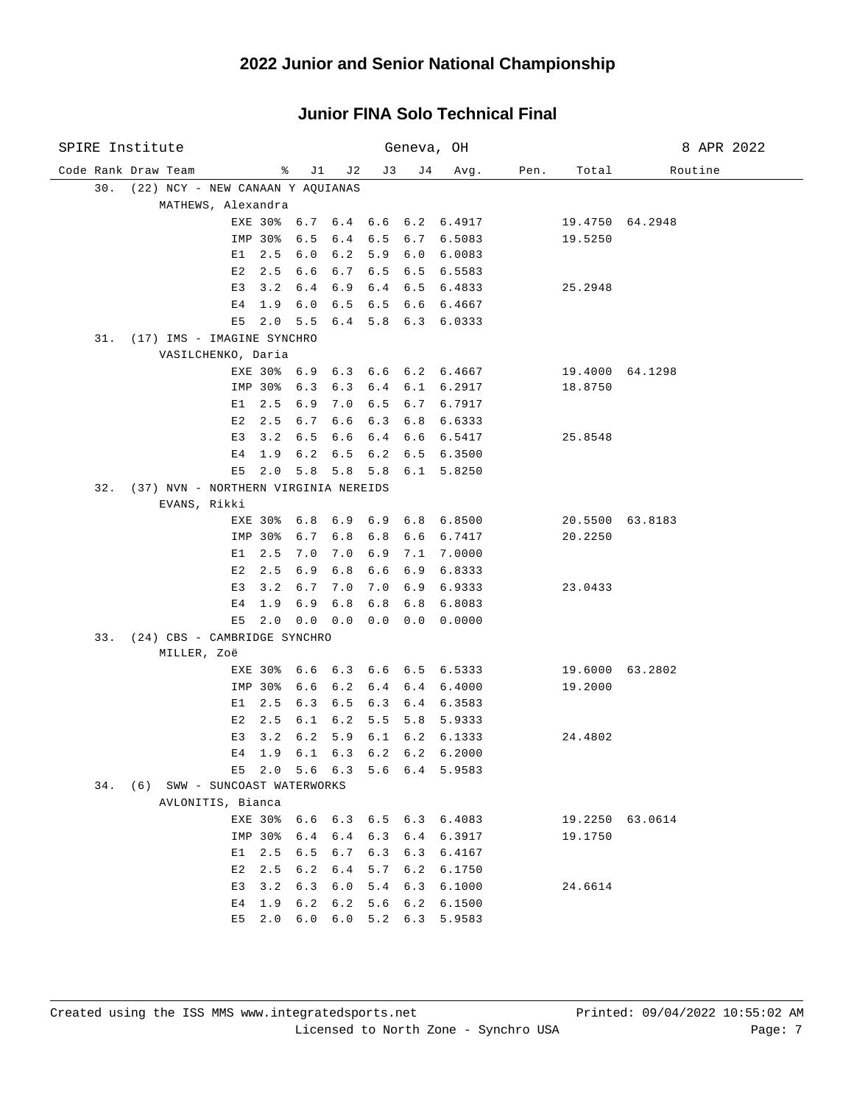| SPIRE Institute     |                                                 |             |              |                          |     | Geneva, OH |                                  |      |                 | 8 APR 2022 |
|---------------------|-------------------------------------------------|-------------|--------------|--------------------------|-----|------------|----------------------------------|------|-----------------|------------|
| Code Rank Draw Team |                                                 | ႜ           | J1           | J 2                      | J3  | J 4        | Avg.                             | Pen. | Total           | Routine    |
|                     | 30. (22) NCY - NEW CANAAN Y AQUIANAS            |             |              |                          |     |            |                                  |      |                 |            |
|                     | MATHEWS, Alexandra                              |             |              |                          |     |            |                                  |      |                 |            |
|                     |                                                 |             |              |                          |     |            | EXE 30% 6.7 6.4 6.6 6.2 6.4917   |      | 19.4750 64.2948 |            |
|                     |                                                 | IMP 30%     | 6.5          | 6.4                      |     |            | $6.5$ $6.7$ $6.5083$             |      | 19.5250         |            |
|                     | E1                                              | 2.5         | 6.0          | 6.2                      |     |            | 5.9 6.0 6.0083                   |      |                 |            |
|                     | E2                                              | 2.5         | 6.6          | 6.7                      |     |            | 6.5 6.5 6.5583                   |      |                 |            |
|                     | E3                                              | 3.2         | 6.4          | 6.9                      |     |            | 6.4 6.5 6.4833                   |      | 25.2948         |            |
|                     | E <sub>4</sub>                                  | 1.9         | 6.0          | 6.5                      |     |            | 6.5 6.6 6.4667<br>5.8 6.3 6.0333 |      |                 |            |
|                     | E5<br>31. (17) IMS - IMAGINE SYNCHRO            | 2.0         | 5.5          | 6.4                      |     |            |                                  |      |                 |            |
|                     | VASILCHENKO, Daria                              |             |              |                          |     |            |                                  |      |                 |            |
|                     |                                                 | EXE 30% 6.9 |              |                          |     |            | $6.3$ $6.6$ $6.2$ $6.4667$       |      | 19.4000 64.1298 |            |
|                     |                                                 | IMP 30%     | 6.3          | 6.3                      |     |            | 6.4 6.1 6.2917                   |      | 18.8750         |            |
|                     | E 1                                             | 2.5         | 6.9          | 7.0                      | 6.5 | 6.7        | 6.7917                           |      |                 |            |
|                     | E2                                              | 2.5         | 6.7          | 6.6                      | 6.3 | 6.8        | 6.6333                           |      |                 |            |
|                     | E3                                              | 3.2         | 6.5          | 6.6                      | 6.4 | 6.6        | 6.5417                           |      | 25.8548         |            |
|                     | E <sub>4</sub>                                  | 1.9         | 6.2          | 6.5                      | 6.2 | 6.5        | 6.3500                           |      |                 |            |
|                     | E5                                              | 2.0         |              | $5.8$ $5.8$              | 5.8 | 6.1        | 5.8250                           |      |                 |            |
|                     | 32. (37) NVN - NORTHERN VIRGINIA NEREIDS        |             |              |                          |     |            |                                  |      |                 |            |
|                     | EVANS, Rikki                                    |             |              |                          |     |            |                                  |      |                 |            |
|                     |                                                 | EXE 30%     |              |                          |     |            | 6.8 6.9 6.9 6.8 6.8500           |      | 20.5500 63.8183 |            |
|                     |                                                 | IMP 30%     | 6.7          | 6.8                      | 6.8 |            | 6.6 6.7417                       |      | 20.2250         |            |
|                     | E1                                              | 2.5         | 7.0          | 7.0                      | 6.9 |            | 7.1 7.0000                       |      |                 |            |
|                     | E2                                              | 2.5         | 6.9          | 6.8                      | 6.6 |            | 6.9 6.8333                       |      |                 |            |
|                     | E3                                              | 3.2         | 6.7          | 7.0                      |     |            | 7.0 6.9 6.9333                   |      | 23.0433         |            |
|                     | E4                                              | 1.9         | 6.9          | 6.8                      | 6.8 |            | 6.8 6.8083                       |      |                 |            |
|                     | E5                                              | 2.0         | $0.0 \t 0.0$ |                          |     |            | $0.0 \t 0.0 \t 0.0000$           |      |                 |            |
|                     | 33. (24) CBS - CAMBRIDGE SYNCHRO<br>MILLER, Zoë |             |              |                          |     |            |                                  |      |                 |            |
|                     |                                                 | EXE 30%     | 6.6          |                          |     |            | 6.3 6.6 6.5 6.5333               |      | 19.6000 63.2802 |            |
|                     |                                                 | IMP 30%     | 6.6          | 6.2                      | 6.4 |            | 6.4 6.4000                       |      | 19.2000         |            |
|                     | E1                                              | 2.5         | 6.3          | 6.5                      | 6.3 |            | 6.4 6.3583                       |      |                 |            |
|                     | E2                                              | 2.5         | 6.1          | 6.2                      | 5.5 |            | 5.8 5.9333                       |      |                 |            |
|                     | E3                                              | 3.2         | 6.2          | 5.9                      | 6.1 |            | 6.2 6.1333                       |      | 24.4802         |            |
|                     | E 4                                             | 1.9         |              | $6.1 \t6.3$              |     |            | $6.2 \quad 6.2 \quad 6.2000$     |      |                 |            |
|                     | E5                                              |             |              |                          |     |            | 2.0 5.6 6.3 5.6 6.4 5.9583       |      |                 |            |
|                     | 34. (6) SWW - SUNCOAST WATERWORKS               |             |              |                          |     |            |                                  |      |                 |            |
|                     | AVLONITIS, Bianca                               |             |              |                          |     |            |                                  |      |                 |            |
|                     |                                                 |             |              |                          |     |            | EXE 30% 6.6 6.3 6.5 6.3 6.4083   |      | 19.2250 63.0614 |            |
|                     |                                                 | IMP 30%     |              |                          |     |            | 6.4 6.4 6.3 6.4 6.3917           |      | 19.1750         |            |
|                     | E1                                              | 2.5         | 6.5          | 6.7                      |     |            | 6.3 6.3 6.4167                   |      |                 |            |
|                     | E2                                              | 2.5         | 6.2          | 6.4                      |     |            | 5.7 6.2 6.1750                   |      |                 |            |
|                     | E3                                              | 3.2         | 6.3          | $6.0$                    |     |            | 5.4 6.3 6.1000                   |      | 24.6614         |            |
|                     | Е4<br>E5                                        | 1.9<br>2.0  | 6.2          | 6.2<br>$6.0 \t6.0 \t5.2$ |     | 6.3        | 5.6 6.2 6.1500                   |      |                 |            |
|                     |                                                 |             |              |                          |     |            | 5.9583                           |      |                 |            |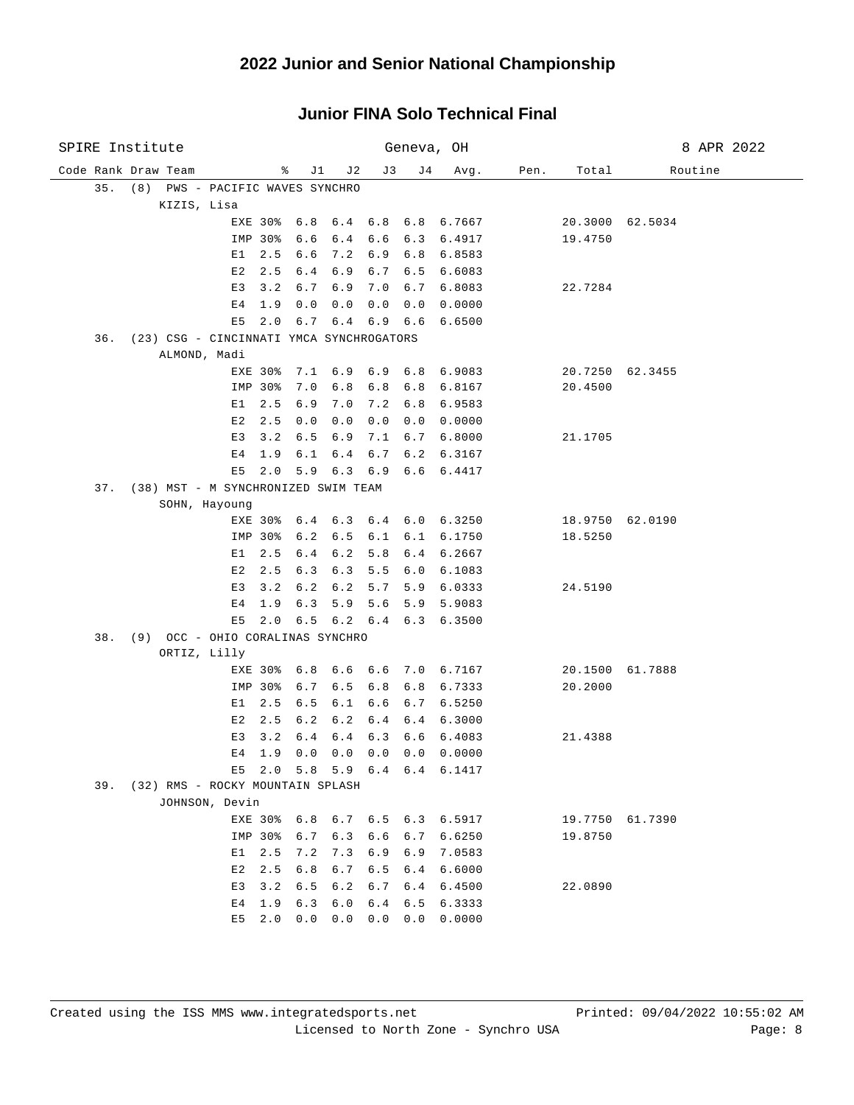| SPIRE Institute                                 |                          |                                 | Geneva, OH           |                    |      |                 | 8 APR 2022      |
|-------------------------------------------------|--------------------------|---------------------------------|----------------------|--------------------|------|-----------------|-----------------|
| Code Rank Draw Team                             | ိ                        | J1<br>J2                        | J3<br>J 4            | Avg.               | Pen. | Total           | Routine         |
| 35.<br>PWS - PACIFIC WAVES SYNCHRO<br>(8)       |                          |                                 |                      |                    |      |                 |                 |
| KIZIS, Lisa                                     |                          |                                 |                      |                    |      |                 |                 |
|                                                 | EXE 30%<br>6.8           |                                 | 6.4 6.8 6.8 6.7667   |                    |      |                 | 20.3000 62.5034 |
|                                                 | IMP 30%<br>6.6           | 6.4                             | 6.6                  | 6.3 6.4917         |      | 19.4750         |                 |
| Е1                                              | 2.5<br>6.6               | 7.2                             | 6.9<br>6.8           | 6.8583             |      |                 |                 |
| E2                                              | 2.5<br>6.4               | 6.9<br>6.7                      | 6.5                  | 6.6083             |      |                 |                 |
| E3                                              | 3.2<br>6.7               | 6.9<br>7.0                      | 6.7                  | 6.8083             |      | 22.7284         |                 |
| E <sub>4</sub><br>E5                            | 1.9<br>0.0<br>2.0<br>6.7 | 0.0<br>0.0<br>$6.4$ $6.9$ $6.6$ | 0.0                  | 0.0000<br>6.6500   |      |                 |                 |
| (23) CSG - CINCINNATI YMCA SYNCHROGATORS<br>36. |                          |                                 |                      |                    |      |                 |                 |
| ALMOND, Madi                                    |                          |                                 |                      |                    |      |                 |                 |
|                                                 | EXE 30%<br>7.1           | 6.9                             | $6.9$ $6.8$ $6.9083$ |                    |      | 20.7250 62.3455 |                 |
|                                                 | IMP<br>30%<br>7.0        | 6.8<br>6.8                      | 6.8                  | 6.8167             |      | 20.4500         |                 |
| E1                                              | 2.5<br>6.9               | 7.0<br>7.2                      | 6.8                  | 6.9583             |      |                 |                 |
| E2                                              | 2.5<br>0.0               | 0.0<br>0.0                      | 0.0                  | 0.0000             |      |                 |                 |
| E3                                              | 3.2<br>6.5               | 6.9<br>7.1                      | 6.7                  | 6.8000             |      | 21.1705         |                 |
| E4                                              | 1.9<br>6.1               | 6.7<br>6.4                      | 6.2                  | 6.3167             |      |                 |                 |
| E5                                              | 2.0<br>5.9               | 6.3<br>6.9                      | 6.6                  | 6.4417             |      |                 |                 |
| (38) MST - M SYNCHRONIZED SWIM TEAM<br>37.      |                          |                                 |                      |                    |      |                 |                 |
| SOHN, Hayoung                                   |                          |                                 |                      |                    |      |                 |                 |
|                                                 | EXE 30%<br>6.4           | 6.3                             | 6.4                  | $6.0 \quad 6.3250$ |      | 18.9750 62.0190 |                 |
|                                                 | IMP 30%<br>6.2           | 6.5<br>6.1                      | 6.1                  | 6.1750             |      | 18.5250         |                 |
| E1                                              | 2.5<br>6.4               | 6.2<br>5.8                      | 6.4                  | 6.2667             |      |                 |                 |
| E2                                              | 2.5<br>6.3               | 6.3<br>5.5                      | 6.0                  | 6.1083             |      |                 |                 |
| E3                                              | 3.2<br>6.2               | 6.2<br>5.7                      | 5.9                  | 6.0333             |      | 24.5190         |                 |
| E4                                              | 6.3<br>1.9               | 5.6<br>5.9                      | 5.9                  | 5.9083             |      |                 |                 |
| E5<br>(9) OCC - OHIO CORALINAS SYNCHRO<br>38.   | 2.0                      | $6.5 \t6.2 \t6.4$               | 6.3                  | 6.3500             |      |                 |                 |
| ORTIZ, Lilly                                    |                          |                                 |                      |                    |      |                 |                 |
|                                                 | 6.8<br>EXE 30%           | 6.6<br>6.6                      |                      | 7.0 6.7167         |      |                 | 20.1500 61.7888 |
|                                                 | IMP 30%<br>6.7           | 6.5<br>6.8                      | 6.8                  | 6.7333             |      | 20.2000         |                 |
| E1                                              | 2.5<br>6.5               | 6.6<br>6.1                      | 6.7                  | 6.5250             |      |                 |                 |
| E2                                              | 2.5<br>6.2               | 6.2<br>6.4                      | 6.4                  | 6.3000             |      |                 |                 |
| E3                                              | 3.2<br>6.4               | 6.4<br>6.3                      | 6.6                  | 6.4083             |      | 21.4388         |                 |
| Е4                                              | 1.9<br>0.0               | 0.0<br>0.0                      | 0.0                  | 0.0000             |      |                 |                 |
| E5                                              | 2.0                      | $5.8$ 5.9                       | 6.4 6.4 6.1417       |                    |      |                 |                 |
| 39. (32) RMS - ROCKY MOUNTAIN SPLASH            |                          |                                 |                      |                    |      |                 |                 |
| JOHNSON, Devin                                  |                          |                                 |                      |                    |      |                 |                 |
|                                                 | EXE 30%<br>6.8           | 6.7                             | $6.5 \t6.3 \t6.5917$ |                    |      | 19.7750 61.7390 |                 |
|                                                 | IMP 30%<br>6.7           | 6.3                             | 6.6<br>6.7           | 6.6250             |      | 19.8750         |                 |
| E1                                              | 2.5<br>7.2               | 7.3                             | 6.9<br>6.9           | 7.0583             |      |                 |                 |
| E2                                              | 6.8<br>2.5               | 6.5<br>6.7                      | 6.4                  | 6.6000             |      |                 |                 |
| E3                                              | 6.5<br>3.2               | 6.2<br>6.7                      | 6.4                  | 6.4500             |      | 22.0890         |                 |
| E4<br>E5                                        | 6.3<br>1.9<br>0.0<br>2.0 | 6.0<br>6.4<br>0.0<br>0.0        | 6.5<br>0.0           | 6.3333<br>0.0000   |      |                 |                 |
|                                                 |                          |                                 |                      |                    |      |                 |                 |